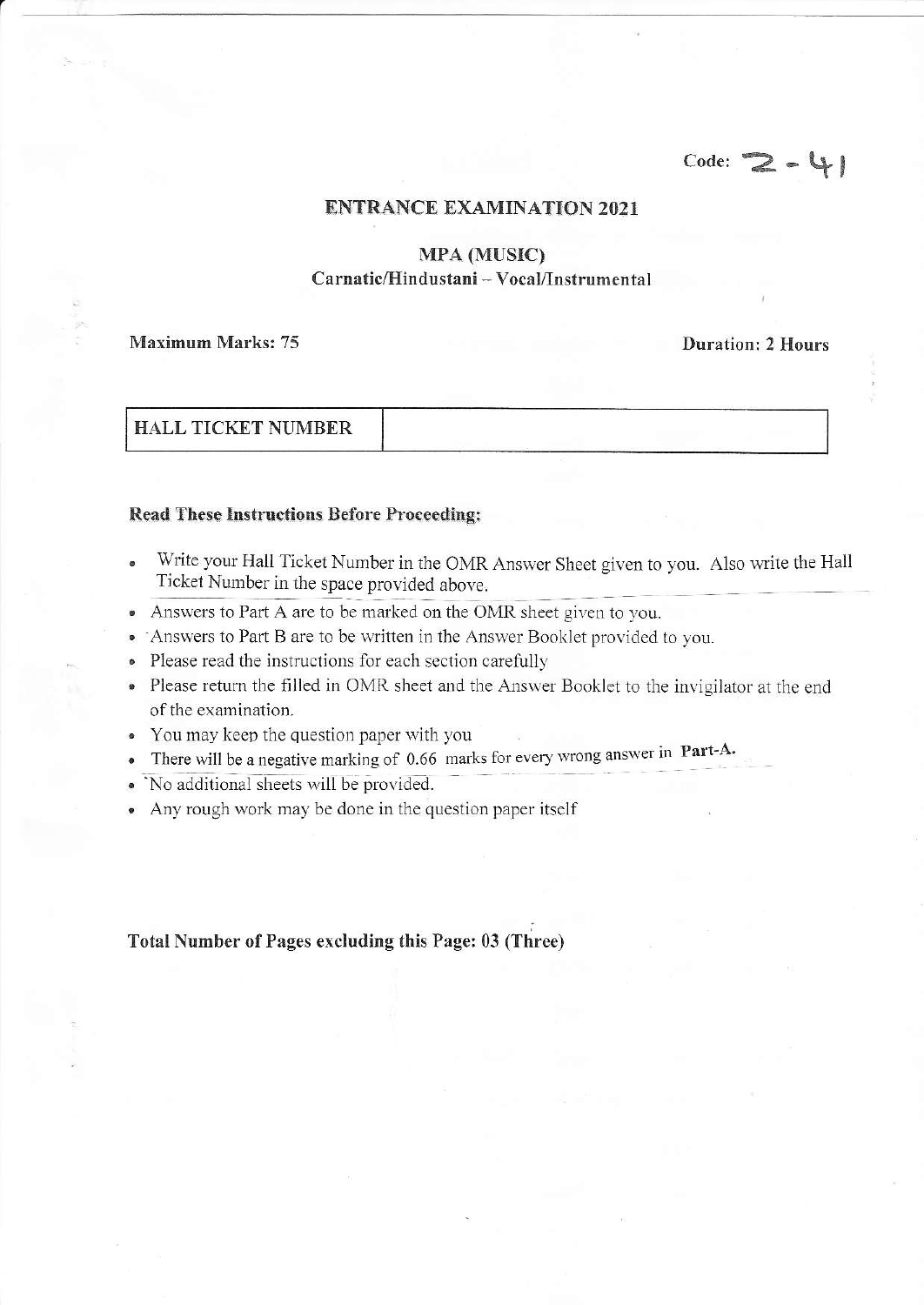## $Code: 2 - 4$

#### **ENTRANCE EXAMINATION 2021**

### **MPA (MUSIC)** Carnatic/Hindustani - Vocal/Instrumental

#### **Maximum Marks: 75**

**Duration: 2 Hours** 

| <b>HALL TICKET NUMBER</b> |  |
|---------------------------|--|
|                           |  |

#### **Read These Instructions Before Proceeding:**

- Write your Hall Ticket Number in the OMR Answer Sheet given to you. Also write the Hall Ticket Number in the space provided above.
- Answers to Part A are to be marked on the OMR sheet given to you.  $\bullet$
- Answers to Part B are to be written in the Answer Booklet provided to you.
- Please read the instructions for each section carefully  $\bullet$
- Please return the filled in OMR sheet and the Answer Booklet to the invigilator at the end of the examination.
- You may keep the question paper with you
- There will be a negative marking of 0.66 marks for every wrong answer in Part-A.  $\bullet$
- No additional sheets will be provided.
- Any rough work may be done in the question paper itself

#### Total Number of Pages excluding this Page: 03 (Three)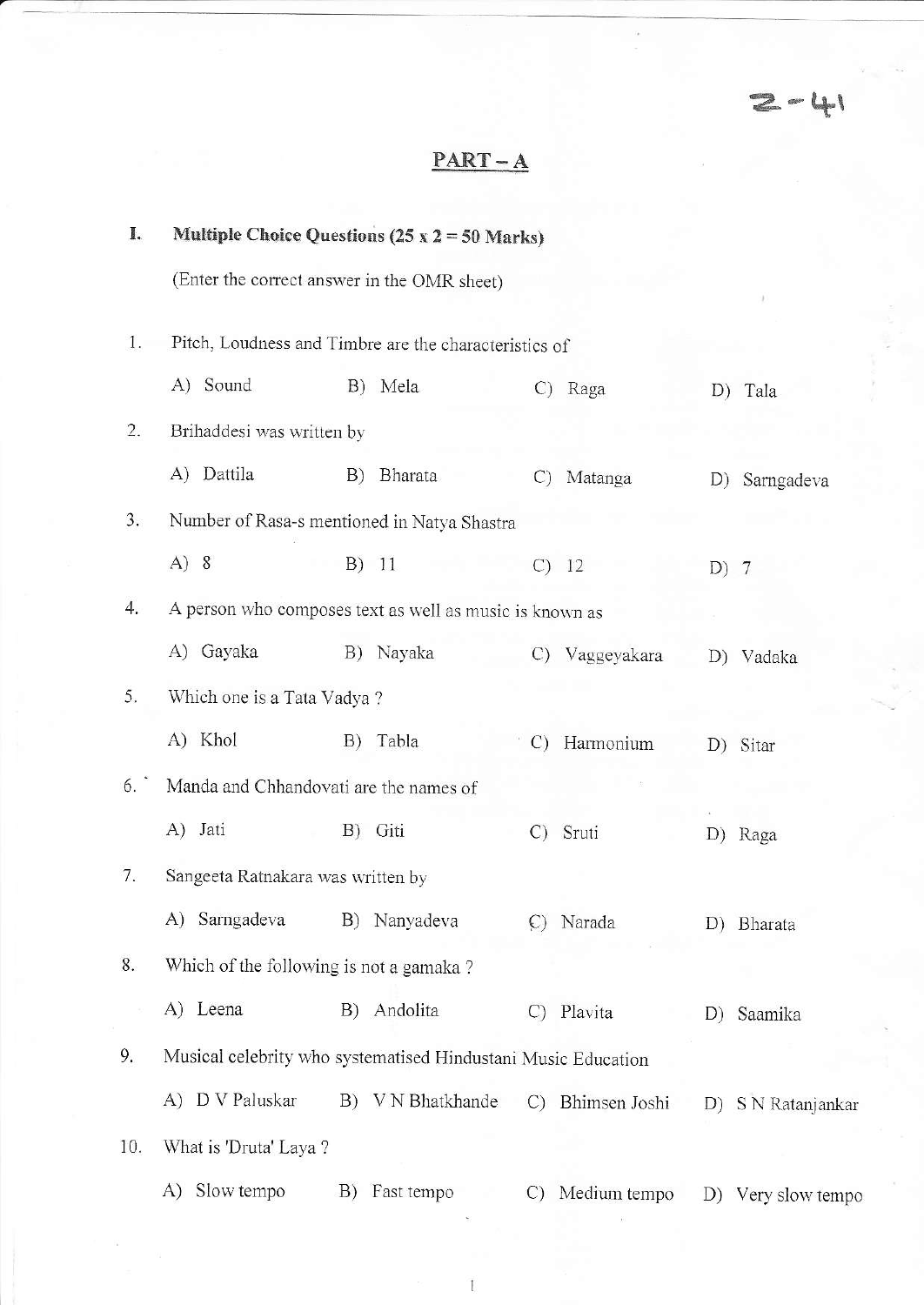$2 - 41$ 

# $PART-A$

| I.  | Multiple Choice Questions $(25 \times 2 = 50 \text{ Marks})$  |    |                   |                 |                  |        |                    |
|-----|---------------------------------------------------------------|----|-------------------|-----------------|------------------|--------|--------------------|
|     | (Enter the correct answer in the OMR sheet)                   |    |                   |                 |                  |        |                    |
| 1.  | Pitch, Loudness and Timbre are the characteristics of         |    |                   |                 |                  |        |                    |
|     | A) Sound                                                      |    | B) Mela           |                 | C) Raga          | D)     | Tala               |
| 2.  | Brihaddesi was written by                                     |    |                   |                 |                  |        |                    |
|     | A) Dattila                                                    | B) | Bharata           | $\mathcal{C}$   | Matanga          |        | D) Sarngadeva      |
| 3.  | Number of Rasa-s mentioned in Natya Shastra                   |    |                   |                 |                  |        |                    |
|     | A) 8                                                          |    | B) 11             |                 | $C)$ 12          | $D)$ 7 |                    |
| 4.  | A person who composes text as well as music is known as       |    |                   |                 |                  |        |                    |
|     | A) Gayaka                                                     | B) | Nayaka            |                 | C) Vaggeyakara   |        | D) Vadaka          |
| 5.  | Which one is a Tata Vadya ?                                   |    |                   |                 |                  |        |                    |
|     | A) Khol                                                       | B) | Tabla             | $\mathcal{C}$   | Harmonium        |        | D) Sitar           |
| 6.  | Manda and Chhandovati are the names of                        |    |                   |                 |                  |        |                    |
|     | A) Jati                                                       |    | B) Giti           | $\mathcal{C}$ ) | Sruti            |        | D) Raga            |
| 7.  | Sangeeta Ratnakara was written by                             |    |                   |                 |                  |        |                    |
|     | A) Sarngadeva                                                 |    | B) Nanyadeva      |                 | C) Narada        |        | D) Bharata         |
| 8.  | Which of the following is not a gamaka?                       |    |                   |                 |                  |        |                    |
|     | A) Leena                                                      |    | B) Andolita       | $\mathcal{C}$   | Plavita          |        | D) Saamika         |
| 9.  | Musical celebrity who systematised Hindustani Music Education |    |                   |                 |                  |        |                    |
|     | A) D V Paluskar                                               |    | B) V N Bhatkhande |                 | C) Bhimsen Joshi |        | D) S N Ratanjankar |
| 10. | What is 'Druta' Laya?                                         |    |                   |                 |                  |        |                    |
|     | Slow tempo<br>A)                                              | B) | Fast tempo        | C)              | Medium tempo     | D)     | Very slow tempo    |

 $\mathbf{1}$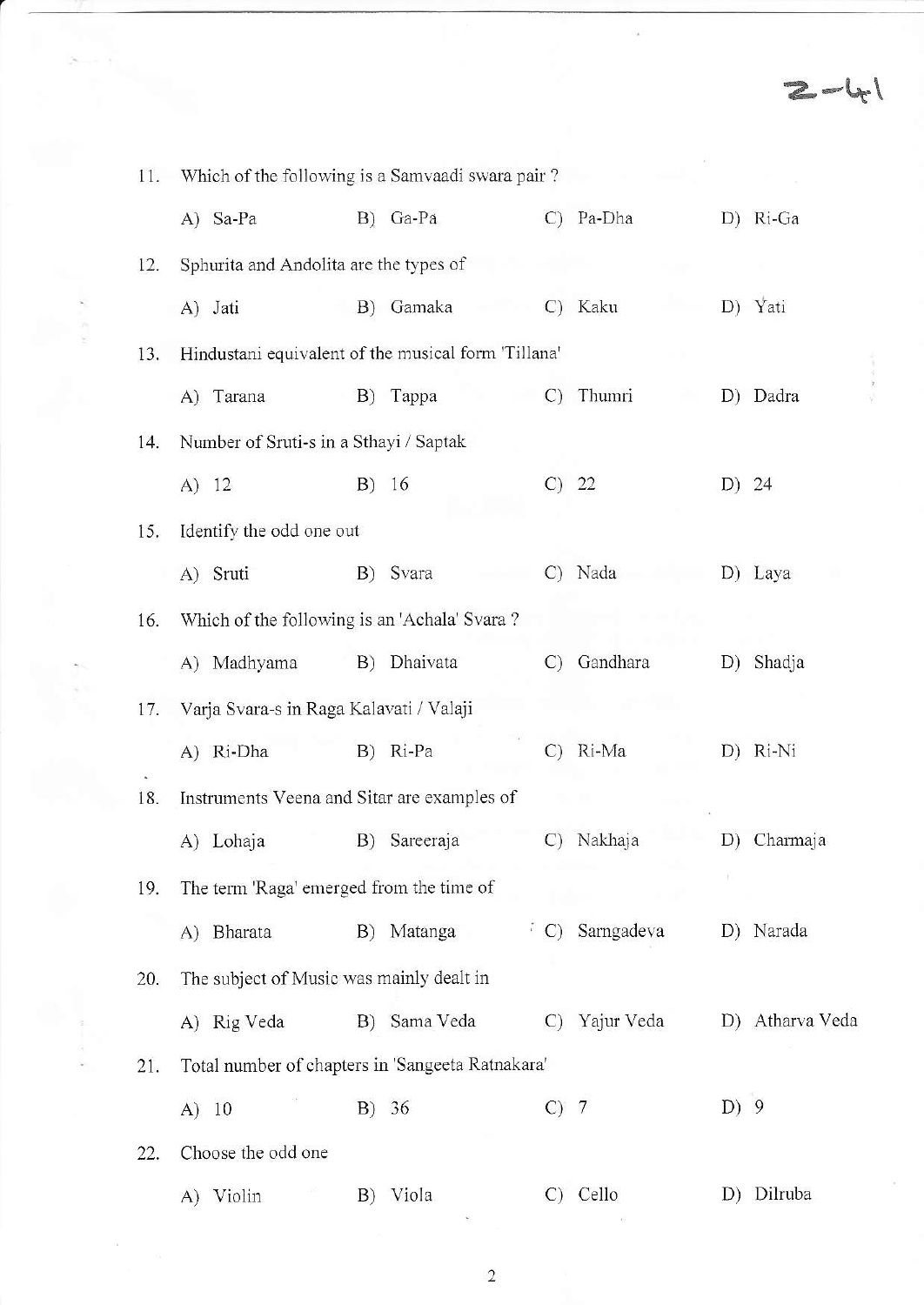|  | 11. | Which of the following is a Samvaadi swara pair?    |    |              |                 |            |      |                 |  |  |
|--|-----|-----------------------------------------------------|----|--------------|-----------------|------------|------|-----------------|--|--|
|  |     | A) Sa-Pa                                            |    | B) Ga-Pa     | $\mathcal{C}$   | Pa-Dha     |      | D) Ri-Ga        |  |  |
|  | 12. | Sphurita and Andolita are the types of              |    |              |                 |            |      |                 |  |  |
|  |     | A) Jati                                             |    | B) Gamaka    |                 | C) Kaku    |      | D) Yati         |  |  |
|  | 13. | Hindustani equivalent of the musical form 'Tillana' |    |              |                 |            |      |                 |  |  |
|  |     | A) Tarana                                           | B) | Тарра        | C)              | Thumri     | D)   | Dadra           |  |  |
|  | 14. | Number of Sruti-s in a Sthayi / Saptak              |    |              |                 |            |      |                 |  |  |
|  |     | A) 12                                               |    | B) 16        |                 | $C)$ 22    |      | D) 24           |  |  |
|  | 15. | Identify the odd one out                            |    |              |                 |            |      |                 |  |  |
|  |     | A) Sruti                                            |    | B) Svara     |                 | C) Nada    |      | D) Laya         |  |  |
|  | 16. | Which of the following is an 'Achala' Svara?        |    |              |                 |            |      |                 |  |  |
|  |     | A) Madhyama                                         |    | B) Dhaivata  | $\mathcal{C}$   | Gandhara   |      | D) Shadja       |  |  |
|  | 17. | Varja Svara-s in Raga Kalavati / Valaji             |    |              |                 |            |      |                 |  |  |
|  |     | A) Ri-Dha                                           |    | B) Ri-Pa     | $\mathcal{C}$ ) | Ri-Ma      |      | D) Ri-Ni        |  |  |
|  | 18. | Instruments Veena and Sitar are examples of         |    |              |                 |            |      |                 |  |  |
|  |     | A) Lohaja                                           | B) | Sareeraja    | $\mathcal{C}$   | Nakhaja    | D)   | Charmaja        |  |  |
|  | 19. | The term 'Raga' emerged from the time of            |    |              |                 |            |      |                 |  |  |
|  |     | A) Bharata                                          |    | B) Matanga   | (C)             | Sarngadeva |      | D) Narada       |  |  |
|  | 20. | The subject of Music was mainly dealt in            |    |              |                 |            |      |                 |  |  |
|  |     | A) Rig Veda                                         |    | B) Sama Veda | $\mathcal{C}$   | Yajur Veda |      | D) Atharva Veda |  |  |
|  | 21. | Total number of chapters in 'Sangeeta Ratnakara'    |    |              |                 |            |      |                 |  |  |
|  |     | A) 10                                               |    | B) 36        | $C)$ 7          |            | D) 9 |                 |  |  |
|  | 22. | Choose the odd one                                  |    |              |                 |            |      |                 |  |  |
|  |     | Violin<br>A)                                        | B) | Viola        | $\mathcal{C}$   | Cello      | D)   | Dilruba         |  |  |

 $\overline{\omega}$ 

 $2 - 41$ 

 $\frac{1}{2} \sum_{i=1}^{n} \frac{1}{(2i-1)!} \sum_{i=1}^{n} \frac{1}{(2i-1)!} \sum_{i=1}^{n} \frac{1}{(2i-1)!} \sum_{i=1}^{n} \frac{1}{(2i-1)!} \sum_{i=1}^{n} \frac{1}{(2i-1)!} \sum_{i=1}^{n} \frac{1}{(2i-1)!} \sum_{i=1}^{n} \frac{1}{(2i-1)!} \sum_{i=1}^{n} \frac{1}{(2i-1)!} \sum_{i=1}^{n} \frac{1}{(2i-1)!} \sum_{i=1}^{n} \frac{1}{$ 

 $\tilde{\mathcal{V}}(\mathbf{z})$ 

 $\sqrt{2}$ 

 $\bar{\epsilon}$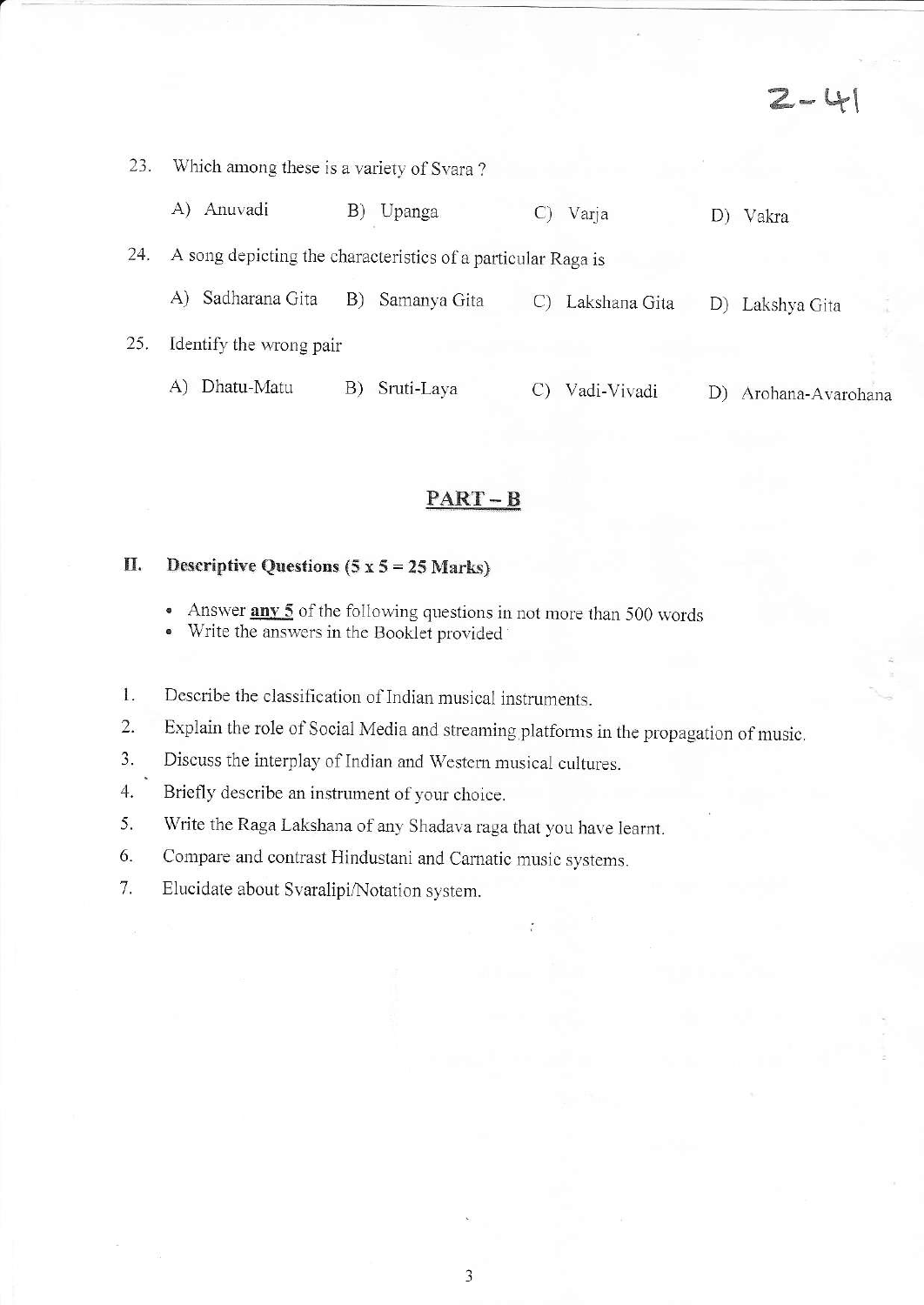$2 - 41$ 

| 23.                                                                 | Which among these is a variety of Svara? |                    |               |                    |  |  |  |  |  |
|---------------------------------------------------------------------|------------------------------------------|--------------------|---------------|--------------------|--|--|--|--|--|
|                                                                     | Anuvadi<br>A)                            | B)<br>Upanga       | Varja         | Vakra<br>D)        |  |  |  |  |  |
| 24.<br>A song depicting the characteristics of a particular Raga is |                                          |                    |               |                    |  |  |  |  |  |
|                                                                     | Sadharana Gita<br>A)                     | B)<br>Samanya Gita | Lakshana Gita | Lakshya Gita<br>D) |  |  |  |  |  |
| 25.                                                                 | Identify the wrong pair                  |                    |               |                    |  |  |  |  |  |
|                                                                     | Dhatu-Matu<br>A)                         | Sruti-Laya<br>B)   | Vadi-Vivadi   | Arohana-Avarohana  |  |  |  |  |  |

### $PART - B$

#### Descriptive Questions  $(5 x 5 = 25 Marks)$ II.

Answer any 5 of the following questions in not more than 500 words  $\bullet$ 

Write the answers in the Booklet provided  $\bullet$ 

Describe the classification of Indian musical instruments. 1.

Explain the role of Social Media and streaming platforms in the propagation of music.  $2.$ 

Discuss the interplay of Indian and Western musical cultures. 3.

Briefly describe an instrument of your choice.  $4.$ 

5. Write the Raga Lakshana of any Shadava raga that you have learnt.

Compare and contrast Hindustani and Carnatic music systems. 6.

7. Elucidate about Svaralipi/Notation system.